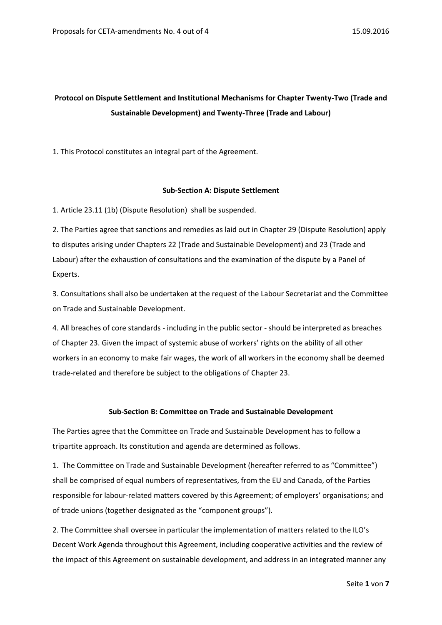# **Protocol on Dispute Settlement and Institutional Mechanisms for Chapter Twenty-Two (Trade and Sustainable Development) and Twenty-Three (Trade and Labour)**

1. This Protocol constitutes an integral part of the Agreement.

## **Sub-Section A: Dispute Settlement**

1. Article 23.11 (1b) (Dispute Resolution) shall be suspended.

2. The Parties agree that sanctions and remedies as laid out in Chapter 29 (Dispute Resolution) apply to disputes arising under Chapters 22 (Trade and Sustainable Development) and 23 (Trade and Labour) after the exhaustion of consultations and the examination of the dispute by a Panel of Experts.

3. Consultations shall also be undertaken at the request of the Labour Secretariat and the Committee on Trade and Sustainable Development.

4. All breaches of core standards - including in the public sector - should be interpreted as breaches of Chapter 23. Given the impact of systemic abuse of workers' rights on the ability of all other workers in an economy to make fair wages, the work of all workers in the economy shall be deemed trade-related and therefore be subject to the obligations of Chapter 23.

#### **Sub-Section B: Committee on Trade and Sustainable Development**

The Parties agree that the Committee on Trade and Sustainable Development has to follow a tripartite approach. Its constitution and agenda are determined as follows.

1. The Committee on Trade and Sustainable Development (hereafter referred to as "Committee") shall be comprised of equal numbers of representatives, from the EU and Canada, of the Parties responsible for labour-related matters covered by this Agreement; of employers' organisations; and of trade unions (together designated as the "component groups").

2. The Committee shall oversee in particular the implementation of matters related to the ILO's Decent Work Agenda throughout this Agreement, including cooperative activities and the review of the impact of this Agreement on sustainable development, and address in an integrated manner any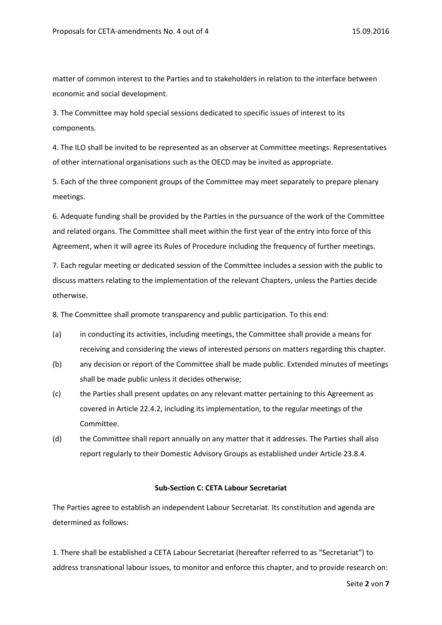matter of common interest to the Parties and to stakeholders in relation to the interface between economic and social development.

3. The Committee may hold special sessions dedicated to specific issues of interest to its components.

4. The ILO shall be invited to be represented as an observer at Committee meetings. Representatives of other international organisations such as the OECD may be invited as appropriate.

5. Each of the three component groups of the Committee may meet separately to prepare plenary meetings.

6. Adequate funding shall be provided by the Parties in the pursuance of the work of the Committee and related organs. The Committee shall meet within the first year of the entry into force of this Agreement, when it will agree its Rules of Procedure including the frequency of further meetings.

7. Each regular meeting or dedicated session of the Committee includes a session with the public to discuss matters relating to the implementation of the relevant Chapters, unless the Parties decide otherwise.

8. The Committee shall promote transparency and public participation. To this end:

- (a) in conducting its activities, including meetings, the Committee shall provide a means for receiving and considering the views of interested persons on matters regarding this chapter.
- (b) any decision or report of the Committee shall be made public. Extended minutes of meetings shall be made public unless it decides otherwise;
- (c) the Parties shall present updates on any relevant matter pertaining to this Agreement as covered in Article 22.4.2, including its implementation, to the regular meetings of the Committee.
- (d) the Committee shall report annually on any matter that it addresses. The Parties shall also report regularly to their Domestic Advisory Groups as established under Article 23.8.4.

#### **Sub-Section C: CETA Labour Secretariat**

The Parties agree to establish an independent Labour Secretariat. Its constitution and agenda are determined as follows:

1. There shall be established a CETA Labour Secretariat (hereafter referred to as "Secretariat") to address transnational labour issues, to monitor and enforce this chapter, and to provide research on: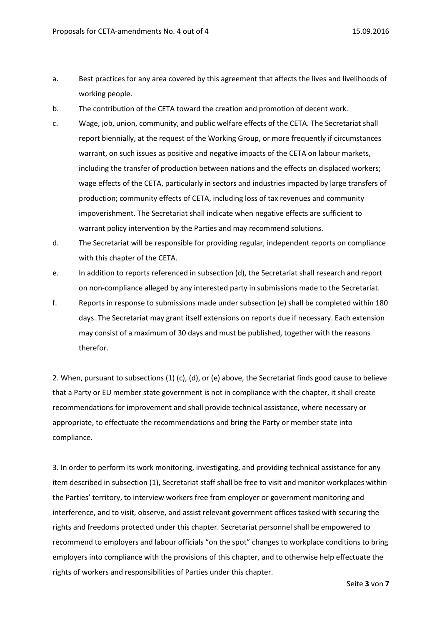- a. Best practices for any area covered by this agreement that affects the lives and livelihoods of working people.
- b. The contribution of the CETA toward the creation and promotion of decent work.
- c. Wage, job, union, community, and public welfare effects of the CETA. The Secretariat shall report biennially, at the request of the Working Group, or more frequently if circumstances warrant, on such issues as positive and negative impacts of the CETA on labour markets, including the transfer of production between nations and the effects on displaced workers; wage effects of the CETA, particularly in sectors and industries impacted by large transfers of production; community effects of CETA, including loss of tax revenues and community impoverishment. The Secretariat shall indicate when negative effects are sufficient to warrant policy intervention by the Parties and may recommend solutions.
- d. The Secretariat will be responsible for providing regular, independent reports on compliance with this chapter of the CETA.
- e. In addition to reports referenced in subsection (d), the Secretariat shall research and report on non-compliance alleged by any interested party in submissions made to the Secretariat.
- f. Reports in response to submissions made under subsection (e) shall be completed within 180 days. The Secretariat may grant itself extensions on reports due if necessary. Each extension may consist of a maximum of 30 days and must be published, together with the reasons therefor.

2. When, pursuant to subsections (1) (c), (d), or (e) above, the Secretariat finds good cause to believe that a Party or EU member state government is not in compliance with the chapter, it shall create recommendations for improvement and shall provide technical assistance, where necessary or appropriate, to effectuate the recommendations and bring the Party or member state into compliance.

3. In order to perform its work monitoring, investigating, and providing technical assistance for any item described in subsection (1), Secretariat staff shall be free to visit and monitor workplaces within the Parties' territory, to interview workers free from employer or government monitoring and interference, and to visit, observe, and assist relevant government offices tasked with securing the rights and freedoms protected under this chapter. Secretariat personnel shall be empowered to recommend to employers and labour officials "on the spot" changes to workplace conditions to bring employers into compliance with the provisions of this chapter, and to otherwise help effectuate the rights of workers and responsibilities of Parties under this chapter.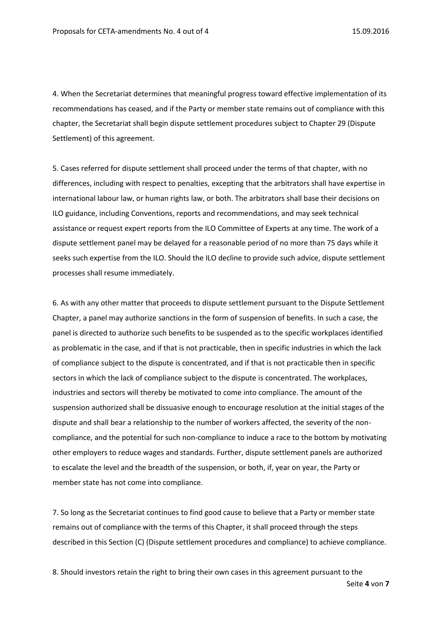4. When the Secretariat determines that meaningful progress toward effective implementation of its recommendations has ceased, and if the Party or member state remains out of compliance with this chapter, the Secretariat shall begin dispute settlement procedures subject to Chapter 29 (Dispute Settlement) of this agreement.

5. Cases referred for dispute settlement shall proceed under the terms of that chapter, with no differences, including with respect to penalties, excepting that the arbitrators shall have expertise in international labour law, or human rights law, or both. The arbitrators shall base their decisions on ILO guidance, including Conventions, reports and recommendations, and may seek technical assistance or request expert reports from the ILO Committee of Experts at any time. The work of a dispute settlement panel may be delayed for a reasonable period of no more than 75 days while it seeks such expertise from the ILO. Should the ILO decline to provide such advice, dispute settlement processes shall resume immediately.

6. As with any other matter that proceeds to dispute settlement pursuant to the Dispute Settlement Chapter, a panel may authorize sanctions in the form of suspension of benefits. In such a case, the panel is directed to authorize such benefits to be suspended as to the specific workplaces identified as problematic in the case, and if that is not practicable, then in specific industries in which the lack of compliance subject to the dispute is concentrated, and if that is not practicable then in specific sectors in which the lack of compliance subject to the dispute is concentrated. The workplaces, industries and sectors will thereby be motivated to come into compliance. The amount of the suspension authorized shall be dissuasive enough to encourage resolution at the initial stages of the dispute and shall bear a relationship to the number of workers affected, the severity of the noncompliance, and the potential for such non-compliance to induce a race to the bottom by motivating other employers to reduce wages and standards. Further, dispute settlement panels are authorized to escalate the level and the breadth of the suspension, or both, if, year on year, the Party or member state has not come into compliance.

7. So long as the Secretariat continues to find good cause to believe that a Party or member state remains out of compliance with the terms of this Chapter, it shall proceed through the steps described in this Section (C) (Dispute settlement procedures and compliance) to achieve compliance.

Seite **4** von **7** 8. Should investors retain the right to bring their own cases in this agreement pursuant to the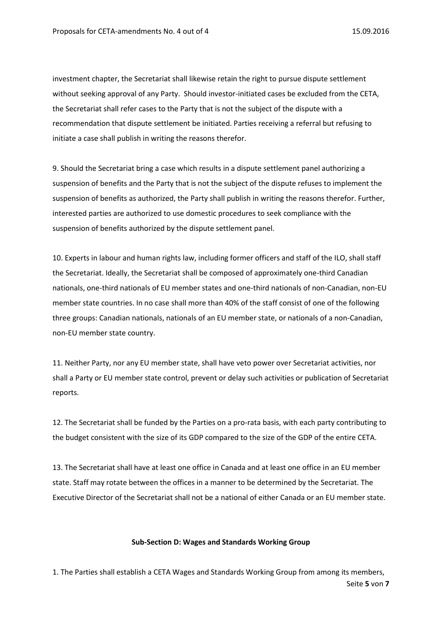investment chapter, the Secretariat shall likewise retain the right to pursue dispute settlement without seeking approval of any Party. Should investor-initiated cases be excluded from the CETA, the Secretariat shall refer cases to the Party that is not the subject of the dispute with a recommendation that dispute settlement be initiated. Parties receiving a referral but refusing to initiate a case shall publish in writing the reasons therefor.

9. Should the Secretariat bring a case which results in a dispute settlement panel authorizing a suspension of benefits and the Party that is not the subject of the dispute refuses to implement the suspension of benefits as authorized, the Party shall publish in writing the reasons therefor. Further, interested parties are authorized to use domestic procedures to seek compliance with the suspension of benefits authorized by the dispute settlement panel.

10. Experts in labour and human rights law, including former officers and staff of the ILO, shall staff the Secretariat. Ideally, the Secretariat shall be composed of approximately one-third Canadian nationals, one-third nationals of EU member states and one-third nationals of non-Canadian, non-EU member state countries. In no case shall more than 40% of the staff consist of one of the following three groups: Canadian nationals, nationals of an EU member state, or nationals of a non-Canadian, non-EU member state country.

11. Neither Party, nor any EU member state, shall have veto power over Secretariat activities, nor shall a Party or EU member state control, prevent or delay such activities or publication of Secretariat reports.

12. The Secretariat shall be funded by the Parties on a pro-rata basis, with each party contributing to the budget consistent with the size of its GDP compared to the size of the GDP of the entire CETA.

13. The Secretariat shall have at least one office in Canada and at least one office in an EU member state. Staff may rotate between the offices in a manner to be determined by the Secretariat. The Executive Director of the Secretariat shall not be a national of either Canada or an EU member state.

## **Sub-Section D: Wages and Standards Working Group**

Seite **5** von **7** 1. The Parties shall establish a CETA Wages and Standards Working Group from among its members,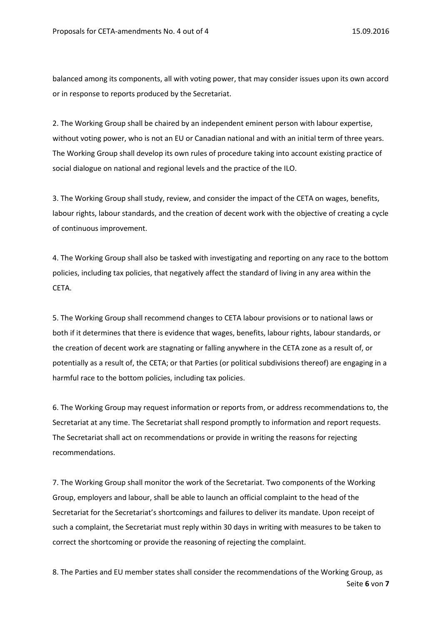balanced among its components, all with voting power, that may consider issues upon its own accord or in response to reports produced by the Secretariat.

2. The Working Group shall be chaired by an independent eminent person with labour expertise, without voting power, who is not an EU or Canadian national and with an initial term of three years. The Working Group shall develop its own rules of procedure taking into account existing practice of social dialogue on national and regional levels and the practice of the ILO.

3. The Working Group shall study, review, and consider the impact of the CETA on wages, benefits, labour rights, labour standards, and the creation of decent work with the objective of creating a cycle of continuous improvement.

4. The Working Group shall also be tasked with investigating and reporting on any race to the bottom policies, including tax policies, that negatively affect the standard of living in any area within the CETA.

5. The Working Group shall recommend changes to CETA labour provisions or to national laws or both if it determines that there is evidence that wages, benefits, labour rights, labour standards, or the creation of decent work are stagnating or falling anywhere in the CETA zone as a result of, or potentially as a result of, the CETA; or that Parties (or political subdivisions thereof) are engaging in a harmful race to the bottom policies, including tax policies.

6. The Working Group may request information or reports from, or address recommendations to, the Secretariat at any time. The Secretariat shall respond promptly to information and report requests. The Secretariat shall act on recommendations or provide in writing the reasons for rejecting recommendations.

7. The Working Group shall monitor the work of the Secretariat. Two components of the Working Group, employers and labour, shall be able to launch an official complaint to the head of the Secretariat for the Secretariat's shortcomings and failures to deliver its mandate. Upon receipt of such a complaint, the Secretariat must reply within 30 days in writing with measures to be taken to correct the shortcoming or provide the reasoning of rejecting the complaint.

Seite **6** von **7** 8. The Parties and EU member states shall consider the recommendations of the Working Group, as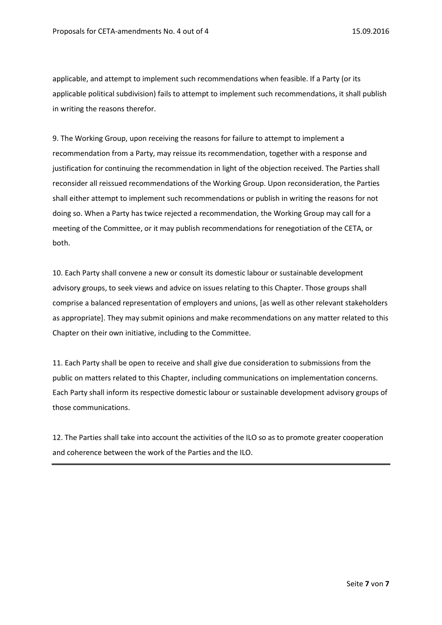applicable, and attempt to implement such recommendations when feasible. If a Party (or its applicable political subdivision) fails to attempt to implement such recommendations, it shall publish in writing the reasons therefor.

9. The Working Group, upon receiving the reasons for failure to attempt to implement a recommendation from a Party, may reissue its recommendation, together with a response and justification for continuing the recommendation in light of the objection received. The Parties shall reconsider all reissued recommendations of the Working Group. Upon reconsideration, the Parties shall either attempt to implement such recommendations or publish in writing the reasons for not doing so. When a Party has twice rejected a recommendation, the Working Group may call for a meeting of the Committee, or it may publish recommendations for renegotiation of the CETA, or both.

10. Each Party shall convene a new or consult its domestic labour or sustainable development advisory groups, to seek views and advice on issues relating to this Chapter. Those groups shall comprise a balanced representation of employers and unions, [as well as other relevant stakeholders as appropriate]. They may submit opinions and make recommendations on any matter related to this Chapter on their own initiative, including to the Committee.

11. Each Party shall be open to receive and shall give due consideration to submissions from the public on matters related to this Chapter, including communications on implementation concerns. Each Party shall inform its respective domestic labour or sustainable development advisory groups of those communications.

12. The Parties shall take into account the activities of the ILO so as to promote greater cooperation and coherence between the work of the Parties and the ILO.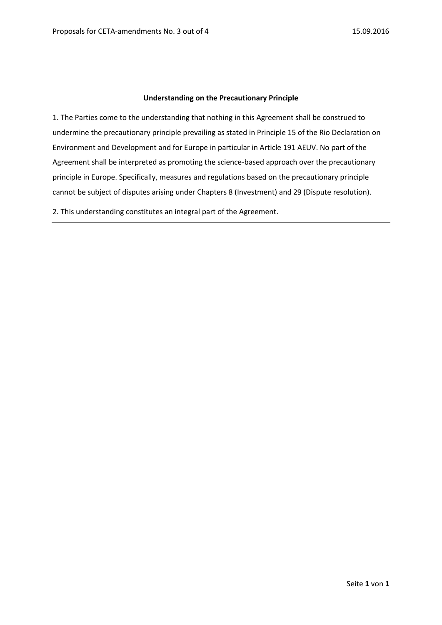## **Understanding on the Precautionary Principle**

1. The Parties come to the understanding that nothing in this Agreement shall be construed to undermine the precautionary principle prevailing as stated in Principle 15 of the Rio Declaration on Environment and Development and for Europe in particular in Article 191 AEUV. No part of the Agreement shall be interpreted as promoting the science-based approach over the precautionary principle in Europe. Specifically, measures and regulations based on the precautionary principle cannot be subject of disputes arising under Chapters 8 (Investment) and 29 (Dispute resolution).

2. This understanding constitutes an integral part of the Agreement.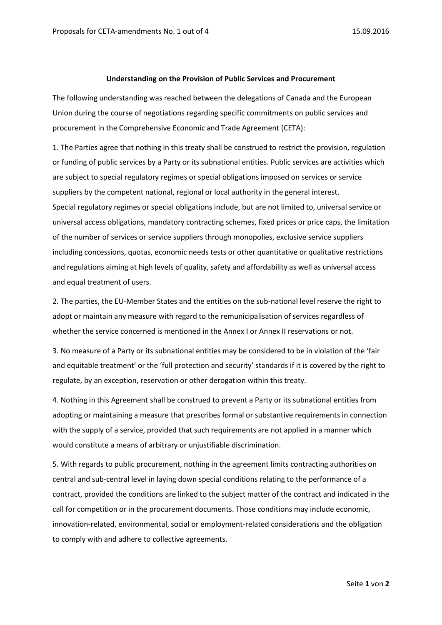#### **Understanding on the Provision of Public Services and Procurement**

The following understanding was reached between the delegations of Canada and the European Union during the course of negotiations regarding specific commitments on public services and procurement in the Comprehensive Economic and Trade Agreement (CETA):

1. The Parties agree that nothing in this treaty shall be construed to restrict the provision, regulation or funding of public services by a Party or its subnational entities. Public services are activities which are subject to special regulatory regimes or special obligations imposed on services or service suppliers by the competent national, regional or local authority in the general interest. Special regulatory regimes or special obligations include, but are not limited to, universal service or universal access obligations, mandatory contracting schemes, fixed prices or price caps, the limitation of the number of services or service suppliers through monopolies, exclusive service suppliers including concessions, quotas, economic needs tests or other quantitative or qualitative restrictions and regulations aiming at high levels of quality, safety and affordability as well as universal access and equal treatment of users.

2. The parties, the EU-Member States and the entities on the sub-national level reserve the right to adopt or maintain any measure with regard to the remunicipalisation of services regardless of whether the service concerned is mentioned in the Annex I or Annex II reservations or not.

3. No measure of a Party or its subnational entities may be considered to be in violation of the 'fair and equitable treatment' or the 'full protection and security' standards if it is covered by the right to regulate, by an exception, reservation or other derogation within this treaty.

4. Nothing in this Agreement shall be construed to prevent a Party or its subnational entities from adopting or maintaining a measure that prescribes formal or substantive requirements in connection with the supply of a service, provided that such requirements are not applied in a manner which would constitute a means of arbitrary or unjustifiable discrimination.

5. With regards to public procurement, nothing in the agreement limits contracting authorities on central and sub-central level in laying down special conditions relating to the performance of a contract, provided the conditions are linked to the subject matter of the contract and indicated in the call for competition or in the procurement documents. Those conditions may include economic, innovation-related, environmental, social or employment-related considerations and the obligation to comply with and adhere to collective agreements.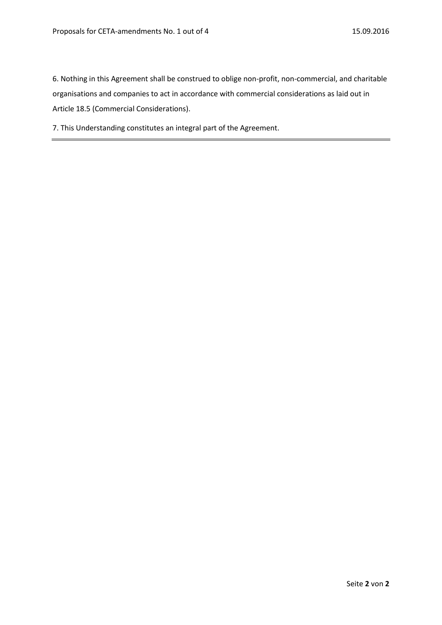6. Nothing in this Agreement shall be construed to oblige non-profit, non-commercial, and charitable organisations and companies to act in accordance with commercial considerations as laid out in Article 18.5 (Commercial Considerations).

7. This Understanding constitutes an integral part of the Agreement.